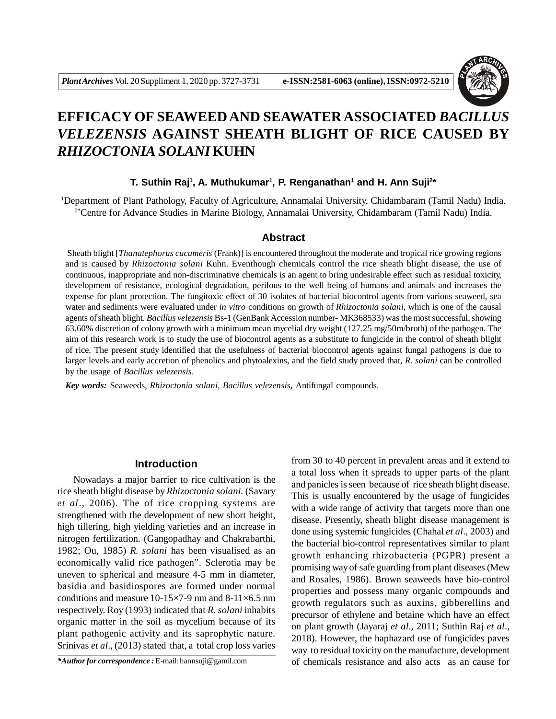

# **EFFICACY OF SEAWEED AND SEAWATER ASSOCIATED** *BACILLUS VELEZENSIS* **AGAINST SHEATH BLIGHT OF RICE CAUSED BY** *RHIZOCTONIA SOLANI* **KUHN**

# **T. Suthin Raj<sup>1</sup>, A. Muthukumar<sup>1</sup>, P. Renganathan<sup>1</sup> and H. Ann Suji<sup>2\*</sup>**

<sup>1</sup>Department of Plant Pathology, Faculty of Agriculture, Annamalai University, Chidambaram (Tamil Nadu) India. 2\*Centre for Advance Studies in Marine Biology, Annamalai University, Chidambaram (Tamil Nadu) India.

### **Abstract**

 Sheath blight [*Thanatephorus cucumeris* (Frank)] is encountered throughout the moderate and tropical rice growing regions and is caused by *Rhizoctonia solani* Kuhn. Eventhough chemicals control the rice sheath blight disease, the use of continuous, inappropriate and non-discriminative chemicals is an agent to bring undesirable effect such as residual toxicity, development of resistance, ecological degradation, perilous to the well being of humans and animals and increases the expense for plant protection. The fungitoxic effect of 30 isolates of bacterial biocontrol agents from various seaweed, sea water and sediments were evaluated under *in vitro* conditions on growth of *Rhizoctonia solani*, which is one of the causal agents of sheath blight. *Bacillus velezensis* Bs-1 (GenBank Accession number- MK368533) was the most successful, showing 63.60% discretion of colony growth with a minimum mean mycelial dry weight (127.25 mg/50m/broth) of the pathogen. The aim of this research work is to study the use of biocontrol agents as a substitute to fungicide in the control of sheath blight of rice. The present study identified that the usefulness of bacterial biocontrol agents against fungal pathogens is due to larger levels and early accretion of phenolics and phytoalexins, and the field study proved that, *R. solani* can be controlled by the usage of *Bacillus velezensis*.

*Key words:* Seaweeds, *Rhizoctonia solani, Bacillus velezensis,* Antifungal compounds.

# **Introduction**

Nowadays a major barrier to rice cultivation is the rice sheath blight disease by *Rhizoctonia solani.* (Savary *et al*., 2006). The of rice cropping systems are strengthened with the development of new short height, high tillering, high yielding varieties and an increase in nitrogen fertilization. (Gangopadhay and Chakrabarthi, 1982; Ou, 1985) *R. solani* has been visualised as an economically valid rice pathogen". Sclerotia may be uneven to spherical and measure 4-5 mm in diameter, basidia and basidiospores are formed under normal conditions and measure 10-15 $\times$ 7-9 nm and 8-11 $\times$ 6.5 nm respectively. Roy (1993) indicated that *R. solani* inhabits organic matter in the soil as mycelium because of its plant pathogenic activity and its saprophytic nature. Srinivas *et al*., (2013) stated that, a total crop loss varies

*\*Author for correspondence :* E-mail: hannsuji@gamil.com

from 30 to 40 percent in prevalent areas and it extend to a total loss when it spreads to upper parts of the plant and panicles is seen because of rice sheath blight disease. This is usually encountered by the usage of fungicides with a wide range of activity that targets more than one disease. Presently, sheath blight disease management is done using systemic fungicides (Chahal *et al*., 2003) and the bacterial bio-control representatives similar to plant growth enhancing rhizobacteria (PGPR) present a promising way of safe guarding from plant diseases (Mew and Rosales, 1986). Brown seaweeds have bio-control properties and possess many organic compounds and growth regulators such as auxins, gibberellins and precursor of ethylene and betaine which have an effect on plant growth (Jayaraj *et al*., 2011; Suthin Raj *et al*., 2018). However, the haphazard use of fungicides paves way to residual toxicity on the manufacture, development of chemicals resistance and also acts as an cause for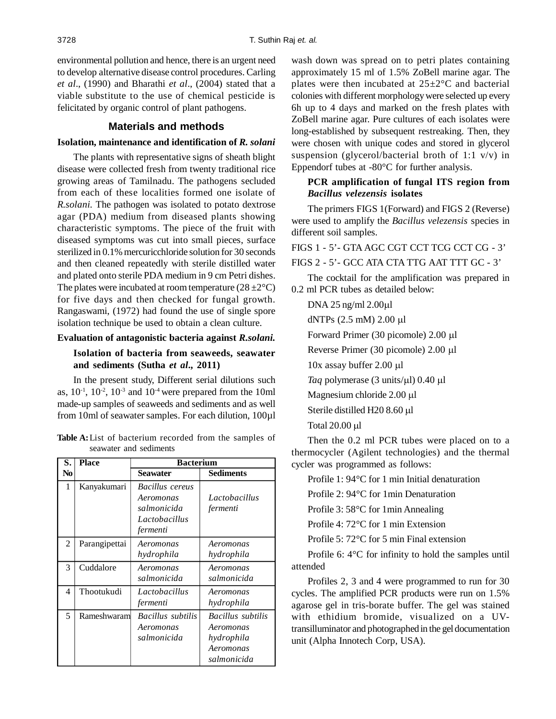environmental pollution and hence, there is an urgent need to develop alternative disease control procedures. Carling *et al*., (1990) and Bharathi *et al*., (2004) stated that a viable substitute to the use of chemical pesticide is felicitated by organic control of plant pathogens.

# **Materials and methods**

## **Isolation, maintenance and identification of** *R. solani*

The plants with representative signs of sheath blight disease were collected fresh from twenty traditional rice growing areas of Tamilnadu. The pathogens secluded from each of these localities formed one isolate of *R.solani.* The pathogen was isolated to potato dextrose agar (PDA) medium from diseased plants showing characteristic symptoms. The piece of the fruit with diseased symptoms was cut into small pieces, surface sterilized in 0.1% mercuricchloride solution for 30 seconds and then cleaned repeatedly with sterile distilled water and plated onto sterile PDA medium in 9 cm Petri dishes. The plates were incubated at room temperature  $(28 \pm 2^{\circ}C)$ for five days and then checked for fungal growth. Rangaswami, (1972) had found the use of single spore isolation technique be used to obtain a clean culture.

# **Evaluation of antagonistic bacteria against** *R.solani.*

# **Isolation of bacteria from seaweeds, seawater and sediments (Sutha** *et al***., 2011)**

In the present study, Different serial dilutions such as,  $10^{-1}$ ,  $10^{-2}$ ,  $10^{-3}$  and  $10^{-4}$  were prepared from the 10ml made-up samples of seaweeds and sediments and as well from 10ml of seawater samples. For each dilution, 100µl

| Table A: List of bacterium recorded from the samples of |                        |  |  |  |
|---------------------------------------------------------|------------------------|--|--|--|
|                                                         | seawater and sediments |  |  |  |

| S.             | <b>Place</b>  | <b>Bacterium</b>                                                         |                                                                          |  |  |  |  |
|----------------|---------------|--------------------------------------------------------------------------|--------------------------------------------------------------------------|--|--|--|--|
| No             |               | Seawater                                                                 | <b>Sediments</b>                                                         |  |  |  |  |
| 1              | Kanyakumari   | Bacillus cereus<br>Aeromonas<br>salmonicida<br>Lactobacillus<br>fermenti | Lactobacillus<br>fermenti                                                |  |  |  |  |
| $\overline{2}$ | Parangipettai | Aeromonas<br>hydrophila                                                  | Aeromonas<br>hydrophila                                                  |  |  |  |  |
| 3              | Cuddalore     | Aeromonas<br>salmonicida                                                 | Aeromonas<br>salmonicida                                                 |  |  |  |  |
| 4              | Thootukudi    | Lactobacillus<br>fermenti                                                | Aeromonas<br>hydrophila                                                  |  |  |  |  |
| 5              | Rameshwaram   | Bacillus subtilis<br>Aeromonas<br>salmonicida                            | Bacillus subtilis<br>Aeromonas<br>hydrophila<br>Aeromonas<br>salmonicida |  |  |  |  |

wash down was spread on to petri plates containing approximately 15 ml of 1.5% ZoBell marine agar. The plates were then incubated at  $25 \pm 2^{\circ}$ C and bacterial colonies with different morphology were selected up every 6h up to 4 days and marked on the fresh plates with ZoBell marine agar. Pure cultures of each isolates were long-established by subsequent restreaking. Then, they were chosen with unique codes and stored in glycerol suspension (glycerol/bacterial broth of 1:1 v/v) in Eppendorf tubes at -80°C for further analysis.

# **PCR amplification of fungal ITS region from** *Bacillus velezensis* **isolates**

The primers FIGS 1(Forward) and FIGS 2 (Reverse) were used to amplify the *Bacillus velezensis* species in different soil samples.

FIGS 1 - 5'- GTA AGC CGT CCT TCG CCT CG - 3' FIGS 2 - 5'- GCC ATA CTA TTG AAT TTT GC - 3'

The cocktail for the amplification was prepared in 0.2 ml PCR tubes as detailed below:

DNA 25 ng/ml 2.00µl dNTPs  $(2.5 \text{ mM})$  2.00 µl Forward Primer (30 picomole) 2.00 µl Reverse Primer (30 picomole) 2.00 µl  $10x$  assay buffer  $2.00 \mu l$ *Taq* polymerase (3 units/ $\mu$ I) 0.40  $\mu$ I Magnesium chloride 2.00 µl Sterile distilled H20 8.60 µl Total 20.00 µl

Then the 0.2 ml PCR tubes were placed on to a thermocycler (Agilent technologies) and the thermal cycler was programmed as follows:

Profile 1: 94°C for 1 min Initial denaturation

Profile 2: 94°C for 1min Denaturation

Profile 3: 58°C for 1min Annealing

Profile 4: 72°C for 1 min Extension

Profile 5: 72°C for 5 min Final extension

Profile 6: 4°C for infinity to hold the samples until attended

Profiles 2, 3 and 4 were programmed to run for 30 cycles. The amplified PCR products were run on 1.5% agarose gel in tris-borate buffer. The gel was stained with ethidium bromide, visualized on a UVtransilluminator and photographed in the gel documentation unit (Alpha Innotech Corp, USA).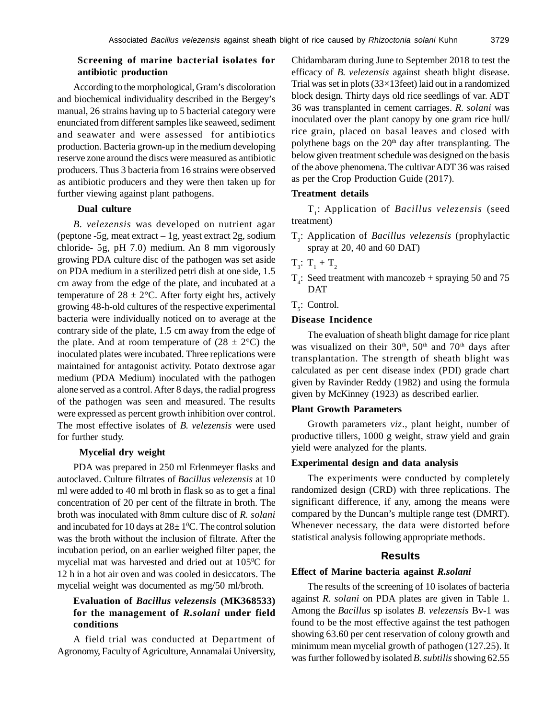# **Screening of marine bacterial isolates for antibiotic production**

According to the morphological, Gram's discoloration and biochemical individuality described in the Bergey's manual, 26 strains having up to 5 bacterial category were enunciated from different samples like seaweed, sediment and seawater and were assessed for antibiotics production. Bacteria grown-up in the medium developing reserve zone around the discs were measured as antibiotic producers. Thus 3 bacteria from 16 strains were observed as antibiotic producers and they were then taken up for further viewing against plant pathogens.

# **Dual culture**

*B. velezensis* was developed on nutrient agar (peptone -5g, meat extract – 1g, yeast extract 2g, sodium chloride- 5g, pH 7.0) medium. An 8 mm vigorously growing PDA culture disc of the pathogen was set aside on PDA medium in a sterilized petri dish at one side, 1.5 cm away from the edge of the plate, and incubated at a temperature of  $28 \pm 2$ °C. After forty eight hrs, actively growing 48-h-old cultures of the respective experimental bacteria were individually noticed on to average at the contrary side of the plate, 1.5 cm away from the edge of the plate. And at room temperature of  $(28 \pm 2^{\circ}C)$  the inoculated plates were incubated. Three replications were maintained for antagonist activity. Potato dextrose agar medium (PDA Medium) inoculated with the pathogen alone served as a control. After 8 days, the radial progress of the pathogen was seen and measured. The results were expressed as percent growth inhibition over control. The most effective isolates of *B. velezensis* were used for further study.

## **Mycelial dry weight**

PDA was prepared in 250 ml Erlenmeyer flasks and autoclaved. Culture filtrates of *Bacillus velezensis* at 10 ml were added to 40 ml broth in flask so as to get a final concentration of 20 per cent of the filtrate in broth. The broth was inoculated with 8mm culture disc of *R. solani* and incubated for 10 days at  $28 \pm 1$ <sup>o</sup>C. The control solution was the broth without the inclusion of filtrate. After the incubation period, on an earlier weighed filter paper, the mycelial mat was harvested and dried out at  $105\textdegree C$  for 12 h in a hot air oven and was cooled in desiccators. The mycelial weight was documented as mg/50 ml/broth.

# **Evaluation of** *Bacillus velezensis* **(MK368533) for the management of** *R.solani* **under field conditions**

A field trial was conducted at Department of Agronomy, Faculty of Agriculture, Annamalai University, Chidambaram during June to September 2018 to test the efficacy of *B. velezensis* against sheath blight disease. Trial was set in plots (33×13feet) laid out in a randomized block design. Thirty days old rice seedlings of var. ADT 36 was transplanted in cement carriages. *R. solani* was inoculated over the plant canopy by one gram rice hull/ rice grain, placed on basal leaves and closed with polythene bags on the  $20<sup>th</sup>$  day after transplanting. The below given treatment schedule was designed on the basis of the above phenomena. The cultivar ADT 36 was raised as per the Crop Production Guide (2017).

## **Treatment details**

T1 : Application of *Bacillus velezensis* (seed treatment)

- T2 : Application of *Bacillus velezensis* (prophylactic spray at 20, 40 and 60 DAT)
- $T_3$ :  $T_1 + T_2$
- $T_4$ : Seed treatment with mancozeb + spraying 50 and 75 DAT
- $T<sub>5</sub>$ : Control.

# **Disease Incidence**

The evaluation of sheath blight damage for rice plant was visualized on their  $30<sup>th</sup>$ ,  $50<sup>th</sup>$  and  $70<sup>th</sup>$  days after transplantation. The strength of sheath blight was calculated as per cent disease index (PDI) grade chart given by Ravinder Reddy (1982) and using the formula given by McKinney (1923) as described earlier.

### **Plant Growth Parameters**

Growth parameters *viz*., plant height, number of productive tillers, 1000 g weight, straw yield and grain yield were analyzed for the plants.

## **Experimental design and data analysis**

The experiments were conducted by completely randomized design (CRD) with three replications. The significant difference, if any, among the means were compared by the Duncan's multiple range test (DMRT). Whenever necessary, the data were distorted before statistical analysis following appropriate methods.

### **Results**

#### **Effect of Marine bacteria against** *R.solani*

The results of the screening of 10 isolates of bacteria against *R. solani* on PDA plates are given in Table 1. Among the *Bacillus* sp isolates *B. velezensis* Bv-1 was found to be the most effective against the test pathogen showing 63.60 per cent reservation of colony growth and minimum mean mycelial growth of pathogen (127.25). It was further followed by isolated *B. subtilis* showing 62.55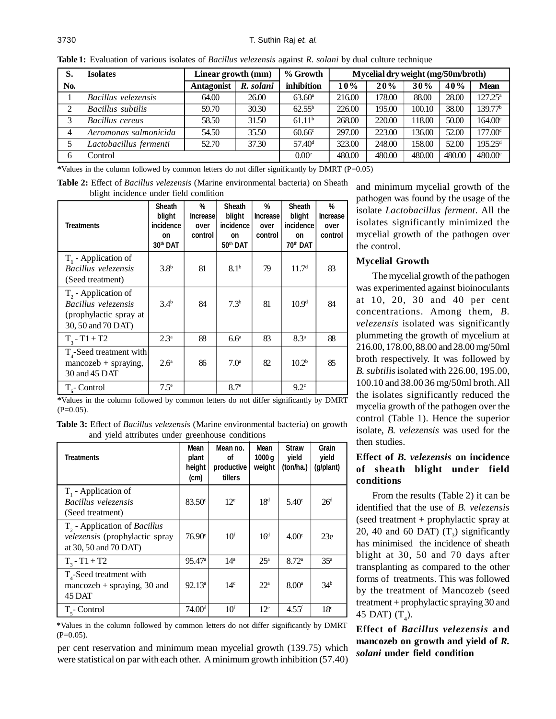| S.  | <b>Isolates</b>        | Linear growth (mm) |           | % Growth           | Mycelial dry weight (mg/50m/broth) |        |        |        |                     |
|-----|------------------------|--------------------|-----------|--------------------|------------------------------------|--------|--------|--------|---------------------|
| No. |                        | <b>Antagonist</b>  | R. solani | inhibition         | 10%                                | 20%    | 30%    | 40%    | Mean                |
|     | Bacillus velezensis    | 64.00              | 26.00     | $63.60^{\circ}$    | 216.00                             | 178.00 | 88.00  | 28.00  | $127.25^{\circ}$    |
| 2   | Bacillus subtilis      | 59.70              | 30.30     | $62.55^{b}$        | 226.00                             | 195.00 | 100.10 | 38.00  | 139.77 <sup>b</sup> |
| 3   | Bacillus cereus        | 58.50              | 31.50     | 61.11 <sup>b</sup> | 268.00                             | 220.00 | 118.00 | 50.00  | $164.00^{\circ}$    |
|     | Aeromonas salmonicida  | 54.50              | 35.50     | 60.66 <sup>c</sup> | 297.00                             | 223.00 | 136.00 | 52.00  | 177.00 <sup>c</sup> |
|     | Lactobacillus fermenti | 52.70              | 37.30     | 57.40 <sup>d</sup> | 323.00                             | 248.00 | 158.00 | 52.00  | $195.25^{\text{d}}$ |
| 6   | Control                |                    |           | 0.00 <sup>e</sup>  | 480.00                             | 480.00 | 480.00 | 480.00 | 480.00 <sup>e</sup> |

**Table 1:** Evaluation of various isolates of *Bacillus velezensis* against *R. solani* by dual culture technique

**\***Values in the column followed by common letters do not differ significantly by DMRT (P=0.05)

**Table 2:** Effect of *Bacillus velezensis* (Marine environmental bacteria) on Sheath blight incidence under field condition

| <b>Treatments</b>                                                                               | <b>Sheath</b><br>blight<br><i>incidence</i><br>on<br>30th DAT | %<br><b>Increase</b><br>over<br>control | <b>Sheath</b><br>blight<br><i>incidence</i><br>on<br>50th DAT | %<br><b>Increase</b><br>over<br>control | <b>Sheath</b><br>blight<br><i>incidence</i><br>on<br>70th DAT | %<br><b>Increase</b><br>over<br>control |
|-------------------------------------------------------------------------------------------------|---------------------------------------------------------------|-----------------------------------------|---------------------------------------------------------------|-----------------------------------------|---------------------------------------------------------------|-----------------------------------------|
| $T1$ - Application of<br>Bacillus velezensis<br>(Seed treatment)                                | 3.8 <sup>b</sup>                                              | 81                                      | 8.1 <sup>b</sup>                                              | 79                                      | 11.7 <sup>d</sup>                                             | 83                                      |
| $T_{2}$ - Application of<br>Bacillus velezensis<br>(prophylactic spray at<br>30, 50 and 70 DAT) | 3.4 <sup>b</sup>                                              | 84                                      | 7.3 <sup>b</sup>                                              | 81                                      | 10.9 <sup>d</sup>                                             | 84                                      |
| $T_{3} - T1 + T2$                                                                               | 2.3 <sup>a</sup>                                              | 88                                      | 6.6 <sup>a</sup>                                              | 83                                      | 8.3 <sup>a</sup>                                              | 88                                      |
| $T_{4}$ -Seed treatment with<br>$mancozeb + spraying,$<br>30 and 45 DAT                         | 2.6 <sup>a</sup>                                              | 86                                      | 7.0 <sup>a</sup>                                              | 82                                      | 10.2 <sup>b</sup>                                             | 85                                      |
| $T_{\epsilon}$ - Control                                                                        | $7.5^{\circ}$                                                 |                                         | 8.7 <sup>e</sup>                                              |                                         | 9.2 <sup>c</sup>                                              |                                         |

**\***Values in the column followed by common letters do not differ significantly by DMRT  $(P=0.05)$ .

**Table 3:** Effect of *Bacillus velezensis* (Marine environmental bacteria) on growth and yield attributes under greenhouse conditions

| <b>Treatments</b>                                                                                   | Mean<br>plant<br>height<br>(c <sub>m</sub> ) | Mean no.<br>οf<br>productive<br>tillers | Mean<br>1000q<br>weight | <b>Straw</b><br>yield<br>(ton/ha.) | Grain<br>yield<br>(g/plant) |
|-----------------------------------------------------------------------------------------------------|----------------------------------------------|-----------------------------------------|-------------------------|------------------------------------|-----------------------------|
| $T1$ - Application of<br>Bacillus velezensis<br>(Seed treatment)                                    | $83.50^{\circ}$                              | 12 <sup>e</sup>                         | 18 <sup>d</sup>         | $5.40^{\circ}$                     | 26 <sup>d</sup>             |
| $T_{2}$ - Application of <i>Bacillus</i><br>velezensis (prophylactic spray<br>at 30, 50 and 70 DAT) | $76.90^{\circ}$                              | 10 <sup>f</sup>                         | 16 <sup>d</sup>         | 4.00 <sup>c</sup>                  | 23e                         |
| $T_{2} - T1 + T2$                                                                                   | 95.47 <sup>a</sup>                           | 14 <sup>a</sup>                         | 25 <sup>a</sup>         | 8.72 <sup>a</sup>                  | 35 <sup>a</sup>             |
| $T_{4}$ -Seed treatment with<br>mancozeb $+$ spraying, 30 and<br>45 DAT                             | 92.13 <sup>a</sup>                           | 14 <sup>c</sup>                         | $22^{\mathrm{a}}$       | 8.00 <sup>a</sup>                  | 34 <sup>b</sup>             |
| $T_{\epsilon}$ - Control                                                                            | 74.00 <sup>d</sup>                           | 10 <sup>f</sup>                         | 12 <sup>e</sup>         | $4.55$ <sup>f</sup>                | 18 <sup>e</sup>             |

**\***Values in the column followed by common letters do not differ significantly by DMRT  $(P=0.05)$ .

per cent reservation and minimum mean mycelial growth (139.75) which were statistical on par with each other. A minimum growth inhibition (57.40)

and minimum mycelial growth of the pathogen was found by the usage of the isolate *Lactobacillus ferment.* All the isolates significantly minimized the mycelial growth of the pathogen over the control.

# **Mycelial Growth**

The mycelial growth of the pathogen was experimented against bioinoculants at 10, 20, 30 and 40 per cent concentrations. Among them, *B. velezensis* isolated was significantly plummeting the growth of mycelium at 216.00, 178.00, 88.00 and 28.00 mg/50ml broth respectively. It was followed by *B. subtilis* isolated with 226.00, 195.00, 100.10 and 38.00 36 mg/50ml broth. All the isolates significantly reduced the mycelia growth of the pathogen over the control (Table 1). Hence the superior isolate, *B. velezensis* was used for the then studies.

# **Effect of** *B. velezensis* **on incidence of sheath blight under field conditions**

From the results (Table 2) it can be identified that the use of *B. velezensis* (seed treatment + prophylactic spray at 20, 40 and 60 DAT)  $(T_3)$  significantly has minimised the incidence of sheath blight at 30, 50 and 70 days after transplanting as compared to the other forms of treatments. This was followed by the treatment of Mancozeb (seed treatment + prophylactic spraying 30 and 45 DAT)  $(T_4)$ .

**Effect of** *Bacillus velezensis* **and mancozeb on growth and yield of** *R. solani* **under field condition**